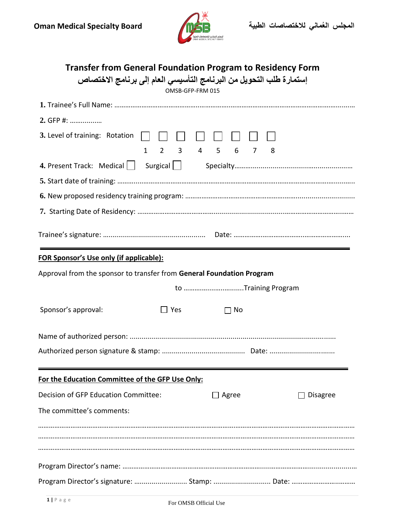

| <b>Transfer from General Foundation Program to Residency Form</b><br>إستمار ة طلب التحويل من البرنامج التأسيسي العام إلى برنامج الاختصاص<br>OMSB-GFP-FRM 015 |  |  |  |  |
|--------------------------------------------------------------------------------------------------------------------------------------------------------------|--|--|--|--|
|                                                                                                                                                              |  |  |  |  |
| 2. GFP #:                                                                                                                                                    |  |  |  |  |
| 3. Level of training: Rotation $\begin{array}{ c c c c c }\n\hline\n\end{array}$                                                                             |  |  |  |  |
| $1\quad 2\quad 3\quad 4\quad 5\quad 6\quad 7\quad 8$                                                                                                         |  |  |  |  |
|                                                                                                                                                              |  |  |  |  |
|                                                                                                                                                              |  |  |  |  |
|                                                                                                                                                              |  |  |  |  |
|                                                                                                                                                              |  |  |  |  |
|                                                                                                                                                              |  |  |  |  |
| <b>FOR Sponsor's Use only (if applicable):</b>                                                                                                               |  |  |  |  |
| Approval from the sponsor to transfer from General Foundation Program                                                                                        |  |  |  |  |
| to Training Program                                                                                                                                          |  |  |  |  |
| Sponsor's approval:<br>$\Box$ Yes<br>$\Box$ No                                                                                                               |  |  |  |  |
|                                                                                                                                                              |  |  |  |  |
|                                                                                                                                                              |  |  |  |  |
| For the Education Committee of the GFP Use Only:                                                                                                             |  |  |  |  |
| Decision of GFP Education Committee:<br>Agree<br><b>Disagree</b>                                                                                             |  |  |  |  |
| The committee's comments:                                                                                                                                    |  |  |  |  |
|                                                                                                                                                              |  |  |  |  |
|                                                                                                                                                              |  |  |  |  |
|                                                                                                                                                              |  |  |  |  |